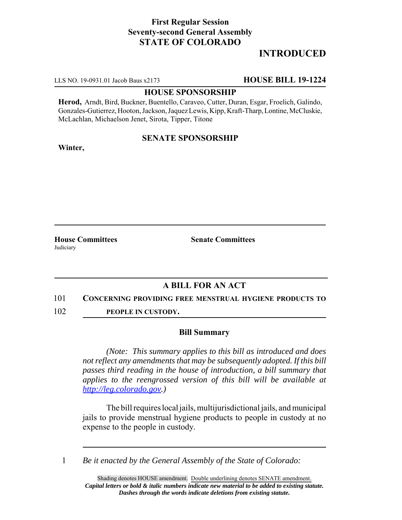# **First Regular Session Seventy-second General Assembly STATE OF COLORADO**

# **INTRODUCED**

LLS NO. 19-0931.01 Jacob Baus x2173 **HOUSE BILL 19-1224**

### **HOUSE SPONSORSHIP**

**Herod,** Arndt, Bird, Buckner, Buentello, Caraveo, Cutter, Duran, Esgar, Froelich, Galindo, Gonzales-Gutierrez, Hooton, Jackson, Jaquez Lewis, Kipp, Kraft-Tharp, Lontine, McCluskie, McLachlan, Michaelson Jenet, Sirota, Tipper, Titone

## **SENATE SPONSORSHIP**

**Winter,**

**House Committees Senate Committees** Judiciary

## **A BILL FOR AN ACT**

#### 101 **CONCERNING PROVIDING FREE MENSTRUAL HYGIENE PRODUCTS TO**

102 **PEOPLE IN CUSTODY.**

#### **Bill Summary**

*(Note: This summary applies to this bill as introduced and does not reflect any amendments that may be subsequently adopted. If this bill passes third reading in the house of introduction, a bill summary that applies to the reengrossed version of this bill will be available at http://leg.colorado.gov.)*

The bill requires local jails, multijurisdictional jails, and municipal jails to provide menstrual hygiene products to people in custody at no expense to the people in custody.

1 *Be it enacted by the General Assembly of the State of Colorado:*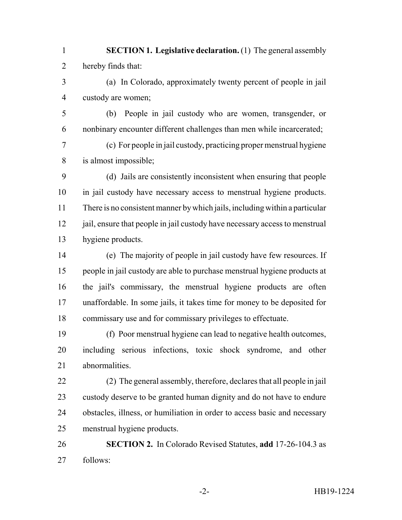- **SECTION 1. Legislative declaration.** (1) The general assembly hereby finds that:
- (a) In Colorado, approximately twenty percent of people in jail custody are women;
- (b) People in jail custody who are women, transgender, or nonbinary encounter different challenges than men while incarcerated;
- (c) For people in jail custody, practicing proper menstrual hygiene is almost impossible;
- (d) Jails are consistently inconsistent when ensuring that people in jail custody have necessary access to menstrual hygiene products. There is no consistent manner by which jails, including within a particular 12 jail, ensure that people in jail custody have necessary access to menstrual hygiene products.
- (e) The majority of people in jail custody have few resources. If people in jail custody are able to purchase menstrual hygiene products at the jail's commissary, the menstrual hygiene products are often unaffordable. In some jails, it takes time for money to be deposited for commissary use and for commissary privileges to effectuate.
- (f) Poor menstrual hygiene can lead to negative health outcomes, including serious infections, toxic shock syndrome, and other abnormalities.
- (2) The general assembly, therefore, declares that all people in jail custody deserve to be granted human dignity and do not have to endure obstacles, illness, or humiliation in order to access basic and necessary menstrual hygiene products.
- **SECTION 2.** In Colorado Revised Statutes, **add** 17-26-104.3 as follows: